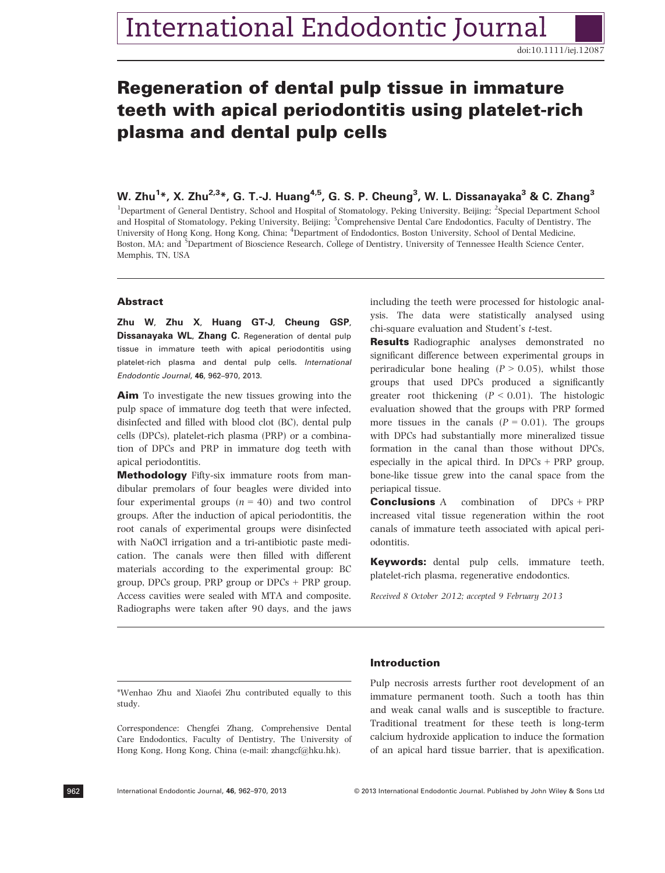# International Endodontic Journal

doi:10.1111/iej.12087

# Regeneration of dental pulp tissue in immature teeth with apical periodontitis using platelet-rich plasma and dental pulp cells

W. Zhu<sup>3</sup>, X. Zhu<sup>3, 2</sup>, G. 1.-J. Huang<sup>3</sup>, G. S. P. Cheung, W. L. Dissanayaka & C. Zhang<br><sup>1</sup>Department of General Dentistry, School and Hospital of Stomatology, Peking University, Beijing; <sup>2</sup>Special Department School and Hospital of Stomatology, Peking University, Beijing; <sup>3</sup>Comprehensive Dental Care Endodontics, Faculty of Dentistry, The University of Hong Kong, Hong Kong, China; <sup>4</sup>Department of Endodontics, Boston University, School of Dental Medicine, Boston, MA; and <sup>5</sup>Department of Bioscience Research, College of Dentistry, University of Tennessee Health Science Center, Memphis, TN, USA

# Abstract

Dissanayaka WL, Zhang C. Regeneration of dental pulp tissue in immature teeth with apical periodontitis using platelet-rich plasma and dental pulp cells. International Endodontic Journal, 46, 962–970, 2013.

Aim To investigate the new tissues growing into the pulp space of immature dog teeth that were infected, disinfected and filled with blood clot (BC), dental pulp cells (DPCs), platelet-rich plasma (PRP) or a combination of DPCs and PRP in immature dog teeth with apical periodontitis.

Methodology Fifty-six immature roots from mandibular premolars of four beagles were divided into four experimental groups  $(n = 40)$  and two control groups. After the induction of apical periodontitis, the root canals of experimental groups were disinfected with NaOCl irrigation and a tri-antibiotic paste medication. The canals were then filled with different materials according to the experimental group: BC group, DPCs group, PRP group or DPCs + PRP group. Access cavities were sealed with MTA and composite. Radiographs were taken after 90 days, and the jaws including the teeth were processed for histologic analysis. The data were statistically analysed using chi-square evaluation and Student's t-test.

**Results** Radiographic analyses demonstrated no significant difference between experimental groups in periradicular bone healing  $(P > 0.05)$ , whilst those groups that used DPCs produced a significantly greater root thickening  $(P < 0.01)$ . The histologic evaluation showed that the groups with PRP formed more tissues in the canals  $(P = 0.01)$ . The groups with DPCs had substantially more mineralized tissue formation in the canal than those without DPCs, especially in the apical third. In  $DPCs + PRP$  group, bone-like tissue grew into the canal space from the periapical tissue.

**Conclusions** A combination of DPCs + PRP increased vital tissue regeneration within the root canals of immature teeth associated with apical periodontitis.

Keywords: dental pulp cells, immature teeth, platelet-rich plasma, regenerative endodontics.

Received 8 October 2012; accepted 9 February 2013

\*Wenhao Zhu and Xiaofei Zhu contributed equally to this study.

Correspondence: Chengfei Zhang, Comprehensive Dental Care Endodontics, Faculty of Dentistry, The University of Hong Kong, Hong Kong, China (e-mail: zhangcf@hku.hk).

### Introduction

Pulp necrosis arrests further root development of an immature permanent tooth. Such a tooth has thin and weak canal walls and is susceptible to fracture. Traditional treatment for these teeth is long-term calcium hydroxide application to induce the formation of an apical hard tissue barrier, that is apexification.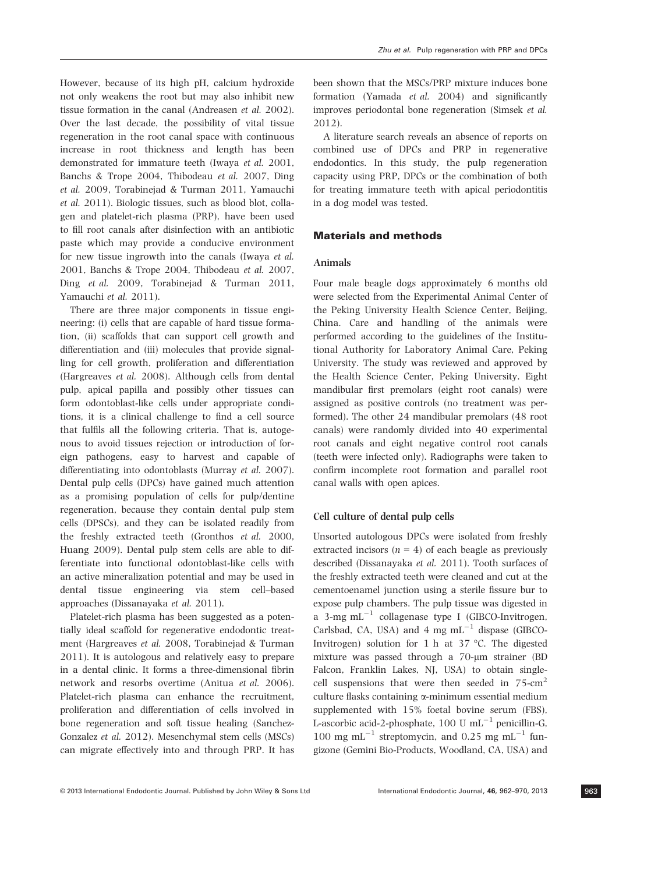However, because of its high pH, calcium hydroxide not only weakens the root but may also inhibit new tissue formation in the canal (Andreasen et al. 2002). Over the last decade, the possibility of vital tissue regeneration in the root canal space with continuous increase in root thickness and length has been demonstrated for immature teeth (Iwaya et al. 2001, Banchs & Trope 2004, Thibodeau et al. 2007, Ding et al. 2009, Torabinejad & Turman 2011, Yamauchi et al. 2011). Biologic tissues, such as blood blot, collagen and platelet-rich plasma (PRP), have been used to fill root canals after disinfection with an antibiotic paste which may provide a conducive environment for new tissue ingrowth into the canals (Iwaya et al. 2001, Banchs & Trope 2004, Thibodeau et al. 2007, Ding et al. 2009, Torabinejad & Turman 2011, Yamauchi et al. 2011).

There are three major components in tissue engineering: (i) cells that are capable of hard tissue formation, (ii) scaffolds that can support cell growth and differentiation and (iii) molecules that provide signalling for cell growth, proliferation and differentiation (Hargreaves et al. 2008). Although cells from dental pulp, apical papilla and possibly other tissues can form odontoblast-like cells under appropriate conditions, it is a clinical challenge to find a cell source that fulfils all the following criteria. That is, autogenous to avoid tissues rejection or introduction of foreign pathogens, easy to harvest and capable of differentiating into odontoblasts (Murray et al. 2007). Dental pulp cells (DPCs) have gained much attention as a promising population of cells for pulp/dentine regeneration, because they contain dental pulp stem cells (DPSCs), and they can be isolated readily from the freshly extracted teeth (Gronthos et al. 2000, Huang 2009). Dental pulp stem cells are able to differentiate into functional odontoblast-like cells with an active mineralization potential and may be used in dental tissue engineering via stem cell–based approaches (Dissanayaka et al. 2011).

Platelet-rich plasma has been suggested as a potentially ideal scaffold for regenerative endodontic treatment (Hargreaves et al. 2008, Torabinejad & Turman 2011). It is autologous and relatively easy to prepare in a dental clinic. It forms a three-dimensional fibrin network and resorbs overtime (Anitua et al. 2006). Platelet-rich plasma can enhance the recruitment, proliferation and differentiation of cells involved in bone regeneration and soft tissue healing (Sanchez-Gonzalez et al. 2012). Mesenchymal stem cells (MSCs) can migrate effectively into and through PRP. It has been shown that the MSCs/PRP mixture induces bone formation (Yamada et al. 2004) and significantly improves periodontal bone regeneration (Simsek et al. 2012).

A literature search reveals an absence of reports on combined use of DPCs and PRP in regenerative endodontics. In this study, the pulp regeneration capacity using PRP, DPCs or the combination of both for treating immature teeth with apical periodontitis in a dog model was tested.

# Materials and methods

# Animals

Four male beagle dogs approximately 6 months old were selected from the Experimental Animal Center of the Peking University Health Science Center, Beijing, China. Care and handling of the animals were performed according to the guidelines of the Institutional Authority for Laboratory Animal Care, Peking University. The study was reviewed and approved by the Health Science Center, Peking University. Eight mandibular first premolars (eight root canals) were assigned as positive controls (no treatment was performed). The other 24 mandibular premolars (48 root canals) were randomly divided into 40 experimental root canals and eight negative control root canals (teeth were infected only). Radiographs were taken to confirm incomplete root formation and parallel root canal walls with open apices.

#### Cell culture of dental pulp cells

Unsorted autologous DPCs were isolated from freshly extracted incisors  $(n = 4)$  of each beagle as previously described (Dissanayaka et al. 2011). Tooth surfaces of the freshly extracted teeth were cleaned and cut at the cementoenamel junction using a sterile fissure bur to expose pulp chambers. The pulp tissue was digested in a 3-mg  $mL^{-1}$  collagenase type I (GIBCO-Invitrogen, Carlsbad, CA, USA) and  $4 \text{ mg } \text{mL}^{-1}$  dispase (GIBCO-Invitrogen) solution for 1 h at 37 °C. The digested mixture was passed through a 70-um strainer (BD Falcon, Franklin Lakes, NJ, USA) to obtain singlecell suspensions that were then seeded in  $75$ -cm<sup>2</sup> culture flasks containing a-minimum essential medium supplemented with 15% foetal bovine serum (FBS), L-ascorbic acid-2-phosphate, 100 U mL $^{-1}$  penicillin-G, 100 mg mL<sup>-1</sup> streptomycin, and 0.25 mg mL<sup>-1</sup> fungizone (Gemini Bio-Products, Woodland, CA, USA) and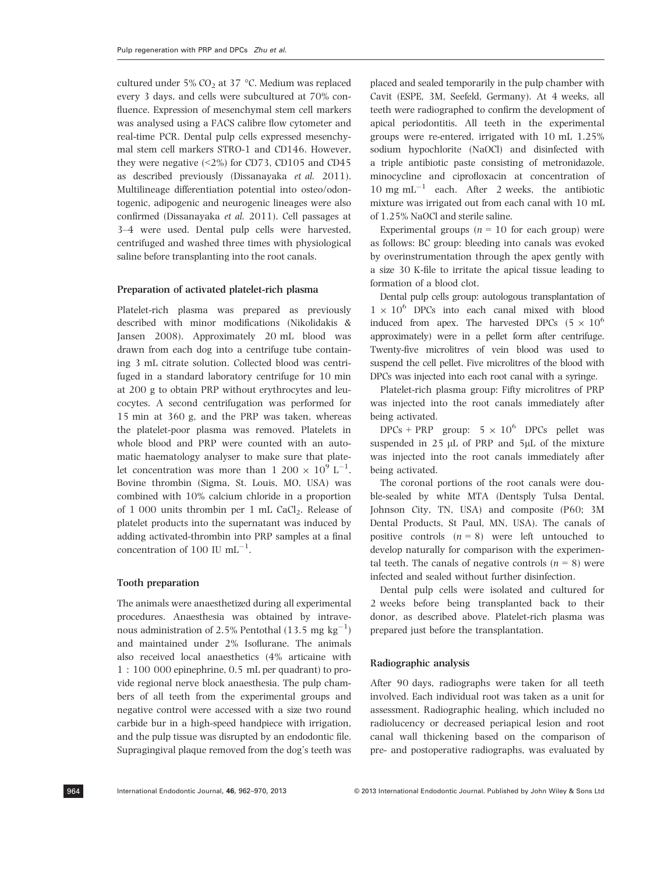cultured under 5%  $CO<sub>2</sub>$  at 37 °C. Medium was replaced every 3 days, and cells were subcultured at 70% confluence. Expression of mesenchymal stem cell markers was analysed using a FACS calibre flow cytometer and real-time PCR. Dental pulp cells expressed mesenchymal stem cell markers STRO-1 and CD146. However, they were negative  $(\leq 2\%)$  for CD73, CD105 and CD45 as described previously (Dissanayaka et al. 2011). Multilineage differentiation potential into osteo/odontogenic, adipogenic and neurogenic lineages were also confirmed (Dissanayaka et al. 2011). Cell passages at 3–4 were used. Dental pulp cells were harvested, centrifuged and washed three times with physiological saline before transplanting into the root canals.

#### Preparation of activated platelet-rich plasma

Platelet-rich plasma was prepared as previously described with minor modifications (Nikolidakis & Jansen 2008). Approximately 20 mL blood was drawn from each dog into a centrifuge tube containing 3 mL citrate solution. Collected blood was centrifuged in a standard laboratory centrifuge for 10 min at 200 g to obtain PRP without erythrocytes and leucocytes. A second centrifugation was performed for 15 min at 360 g, and the PRP was taken, whereas the platelet-poor plasma was removed. Platelets in whole blood and PRP were counted with an automatic haematology analyser to make sure that platelet concentration was more than  $1\ 200 \times 10^9 \mathrm{L}^{-1}$ . Bovine thrombin (Sigma, St. Louis, MO, USA) was combined with 10% calcium chloride in a proportion of  $1\ 000$  units thrombin per  $1\ \text{mL}$  CaCl<sub>2</sub>. Release of platelet products into the supernatant was induced by adding activated-thrombin into PRP samples at a final concentration of 100 IU  $mL^{-1}$ .

# Tooth preparation

The animals were anaesthetized during all experimental procedures. Anaesthesia was obtained by intravenous administration of 2.5% Pentothal (13.5  ${\rm mg~kg^{-1}})$ and maintained under 2% Isoflurane. The animals also received local anaesthetics (4% articaine with 1 : 100 000 epinephrine, 0.5 mL per quadrant) to provide regional nerve block anaesthesia. The pulp chambers of all teeth from the experimental groups and negative control were accessed with a size two round carbide bur in a high-speed handpiece with irrigation, and the pulp tissue was disrupted by an endodontic file. Supragingival plaque removed from the dog's teeth was placed and sealed temporarily in the pulp chamber with Cavit (ESPE, 3M, Seefeld, Germany). At 4 weeks, all teeth were radiographed to confirm the development of apical periodontitis. All teeth in the experimental groups were re-entered, irrigated with 10 mL 1.25% sodium hypochlorite (NaOCl) and disinfected with a triple antibiotic paste consisting of metronidazole, minocycline and ciprofloxacin at concentration of 10 mg mL $^{-1}$  each. After 2 weeks, the antibiotic mixture was irrigated out from each canal with 10 mL of 1.25% NaOCl and sterile saline.

Experimental groups ( $n = 10$  for each group) were as follows: BC group: bleeding into canals was evoked by overinstrumentation through the apex gently with a size 30 K-file to irritate the apical tissue leading to formation of a blood clot.

Dental pulp cells group: autologous transplantation of  $1 \times 10^6$  DPCs into each canal mixed with blood induced from apex. The harvested DPCs  $(5 \times 10^6$ approximately) were in a pellet form after centrifuge. Twenty-five microlitres of vein blood was used to suspend the cell pellet. Five microlitres of the blood with DPCs was injected into each root canal with a syringe.

Platelet-rich plasma group: Fifty microlitres of PRP was injected into the root canals immediately after being activated.

DPCs + PRP group:  $5 \times 10^6$  DPCs pellet was suspended in  $25 \mu L$  of PRP and  $5 \mu L$  of the mixture was injected into the root canals immediately after being activated.

The coronal portions of the root canals were double-sealed by white MTA (Dentsply Tulsa Dental, Johnson City, TN, USA) and composite (P60; 3M Dental Products, St Paul, MN, USA). The canals of positive controls  $(n = 8)$  were left untouched to develop naturally for comparison with the experimental teeth. The canals of negative controls  $(n = 8)$  were infected and sealed without further disinfection.

Dental pulp cells were isolated and cultured for 2 weeks before being transplanted back to their donor, as described above. Platelet-rich plasma was prepared just before the transplantation.

### Radiographic analysis

After 90 days, radiographs were taken for all teeth involved. Each individual root was taken as a unit for assessment. Radiographic healing, which included no radiolucency or decreased periapical lesion and root canal wall thickening based on the comparison of pre- and postoperative radiographs, was evaluated by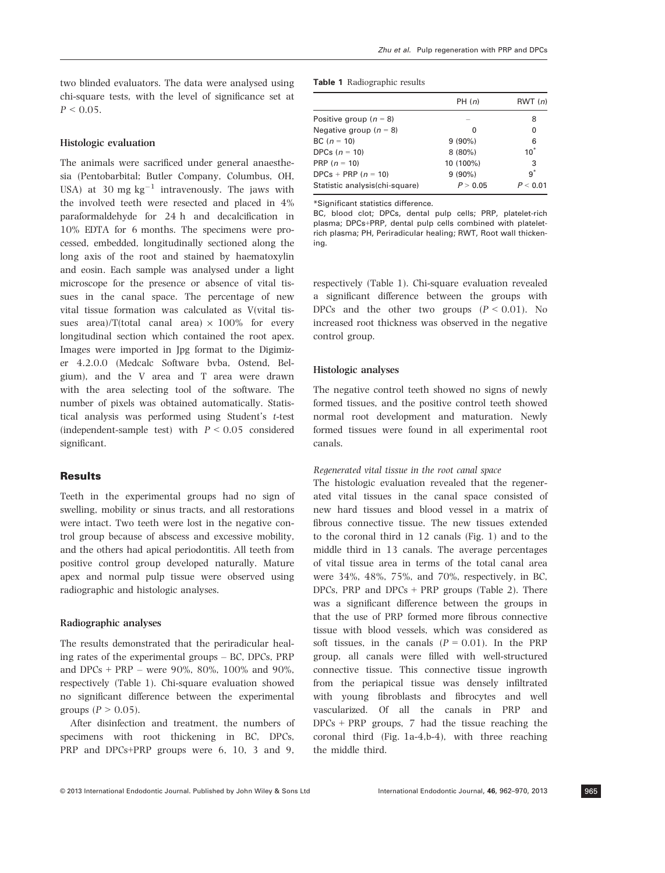two blinded evaluators. The data were analysed using chi-square tests, with the level of significance set at  $P < 0.05$ .

# Histologic evaluation

The animals were sacrificed under general anaesthesia (Pentobarbital; Butler Company, Columbus, OH, USA) at 30 mg  $kg^{-1}$  intravenously. The jaws with the involved teeth were resected and placed in 4% paraformaldehyde for 24 h and decalcification in 10% EDTA for 6 months. The specimens were processed, embedded, longitudinally sectioned along the long axis of the root and stained by haematoxylin and eosin. Each sample was analysed under a light microscope for the presence or absence of vital tissues in the canal space. The percentage of new vital tissue formation was calculated as V(vital tissues area)/T(total canal area)  $\times$  100% for every longitudinal section which contained the root apex. Images were imported in Jpg format to the Digimizer 4.2.0.0 (Medcalc Software bvba, Ostend, Belgium), and the V area and T area were drawn with the area selecting tool of the software. The number of pixels was obtained automatically. Statistical analysis was performed using Student's t-test (independent-sample test) with  $P \leq 0.05$  considered significant.

# Results

Teeth in the experimental groups had no sign of swelling, mobility or sinus tracts, and all restorations were intact. Two teeth were lost in the negative control group because of abscess and excessive mobility, and the others had apical periodontitis. All teeth from positive control group developed naturally. Mature apex and normal pulp tissue were observed using radiographic and histologic analyses.

# Radiographic analyses

The results demonstrated that the periradicular healing rates of the experimental groups – BC, DPCs, PRP and DPCs + PRP – were 90%, 80%, 100% and 90%, respectively (Table 1). Chi-square evaluation showed no significant difference between the experimental groups ( $P > 0.05$ ).

After disinfection and treatment, the numbers of specimens with root thickening in BC, DPCs, PRP and DPCs+PRP groups were 6, 10, 3 and 9, \*Significant statistics difference.

Table 1 Radiographic results

BC, blood clot; DPCs, dental pulp cells; PRP, platelet-rich plasma; DPCs+PRP, dental pulp cells combined with plateletrich plasma; PH, Periradicular healing; RWT, Root wall thickening.

respectively (Table 1). Chi-square evaluation revealed a significant difference between the groups with DPCs and the other two groups  $(P < 0.01)$ . No increased root thickness was observed in the negative control group.

# Histologic analyses

The negative control teeth showed no signs of newly formed tissues, and the positive control teeth showed normal root development and maturation. Newly formed tissues were found in all experimental root canals.

### Regenerated vital tissue in the root canal space

The histologic evaluation revealed that the regenerated vital tissues in the canal space consisted of new hard tissues and blood vessel in a matrix of fibrous connective tissue. The new tissues extended to the coronal third in 12 canals (Fig. 1) and to the middle third in 13 canals. The average percentages of vital tissue area in terms of the total canal area were 34%, 48%, 75%, and 70%, respectively, in BC, DPCs, PRP and DPCs  $+$  PRP groups (Table 2). There was a significant difference between the groups in that the use of PRP formed more fibrous connective tissue with blood vessels, which was considered as soft tissues, in the canals  $(P = 0.01)$ . In the PRP group, all canals were filled with well-structured connective tissue. This connective tissue ingrowth from the periapical tissue was densely infiltrated with young fibroblasts and fibrocytes and well vascularized. Of all the canals in PRP and  $DPCs + PRP$  groups, 7 had the tissue reaching the coronal third (Fig. 1a-4,b-4), with three reaching the middle third.

# PH  $(n)$  RWT  $(n)$ Positive group  $(n = 8)$  – 8 Negative group (n = 8) 0 0 BC  $(n = 10)$  9 (90%) 6 DPCs  $(n = 10)$  8 (80%) 10<sup>\*</sup> PRP  $(n = 10)$  10 (100%) 3 DPCs + PRP ( $n = 10$ ) 9 (90%) 9<sup>\*</sup> Statistic analysis(chi-square)  $P > 0.05$   $P < 0.01$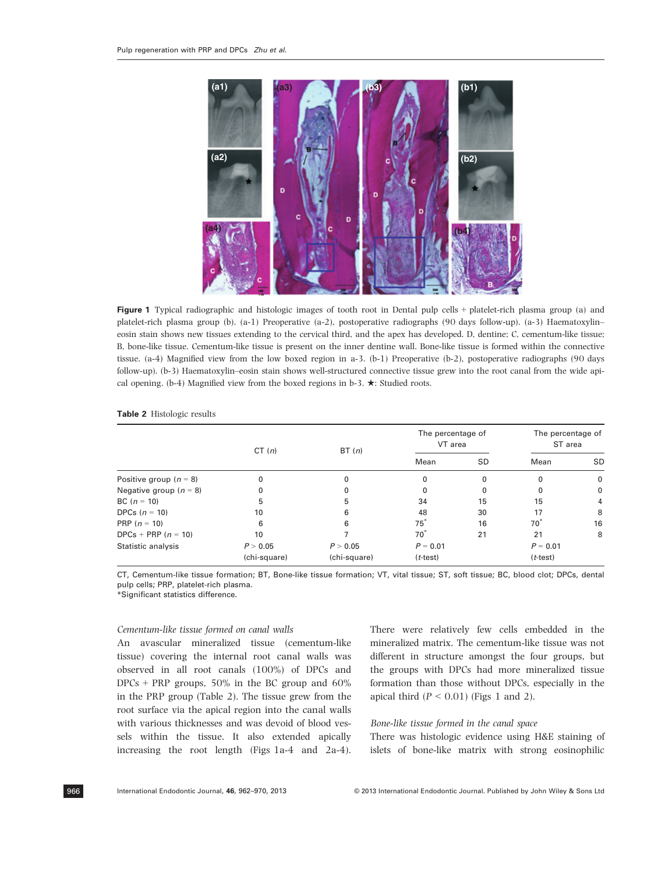

Figure 1 Typical radiographic and histologic images of tooth root in Dental pulp cells + platelet-rich plasma group (a) and platelet-rich plasma group (b). (a-1) Preoperative (a-2), postoperative radiographs (90 days follow-up). (a-3) Haematoxylin– eosin stain shows new tissues extending to the cervical third, and the apex has developed. D, dentine; C, cementum-like tissue; B, bone-like tissue. Cementum-like tissue is present on the inner dentine wall. Bone-like tissue is formed within the connective tissue. (a-4) Magnified view from the low boxed region in a-3. (b-1) Preoperative (b-2), postoperative radiographs (90 days follow-up). (b-3) Haematoxylin–eosin stain shows well-structured connective tissue grew into the root canal from the wide apical opening. (b-4) Magnified view from the boxed regions in b-3.  $\star$ : Studied roots.

|                          | CT(n)        | BT(n)        | The percentage of<br>VT area |    | The percentage of<br>ST area |     |
|--------------------------|--------------|--------------|------------------------------|----|------------------------------|-----|
|                          |              |              | Mean                         | SD | Mean                         | SD. |
| Positive group $(n = 8)$ | 0            |              |                              | 0  | $\Omega$                     | 0   |
| Negative group $(n = 8)$ | 0            |              |                              | 0  | 0                            | 0   |
| BC $(n = 10)$            | 5            | 5            | 34                           | 15 | 15                           | 4   |
| DPCs $(n = 10)$          | 10           | 6            | 48                           | 30 | 17                           | 8   |
| PRP $(n = 10)$           | 6            | 6            | $75^*$                       | 16 | $70^*$                       | 16  |
| DPCs + PRP $(n = 10)$    | 10           |              | $70^*$                       | 21 | 21                           | 8   |
| Statistic analysis       | P > 0.05     | P > 0.05     | $P = 0.01$                   |    | $P = 0.01$                   |     |
|                          | (chi-square) | (chi-square) | $(t-test)$                   |    | $(t-test)$                   |     |

#### Table 2 Histologic results

CT, Cementum-like tissue formation; BT, Bone-like tissue formation; VT, vital tissue; ST, soft tissue; BC, blood clot; DPCs, dental pulp cells; PRP, platelet-rich plasma.

\*Significant statistics difference.

#### Cementum-like tissue formed on canal walls

An avascular mineralized tissue (cementum-like tissue) covering the internal root canal walls was observed in all root canals (100%) of DPCs and DPCs + PRP groups, 50% in the BC group and 60% in the PRP group (Table 2). The tissue grew from the root surface via the apical region into the canal walls with various thicknesses and was devoid of blood vessels within the tissue. It also extended apically increasing the root length (Figs 1a-4 and 2a-4). There were relatively few cells embedded in the mineralized matrix. The cementum-like tissue was not different in structure amongst the four groups, but the groups with DPCs had more mineralized tissue formation than those without DPCs, especially in the apical third  $(P < 0.01)$  (Figs 1 and 2).

# Bone-like tissue formed in the canal space

There was histologic evidence using H&E staining of islets of bone-like matrix with strong eosinophilic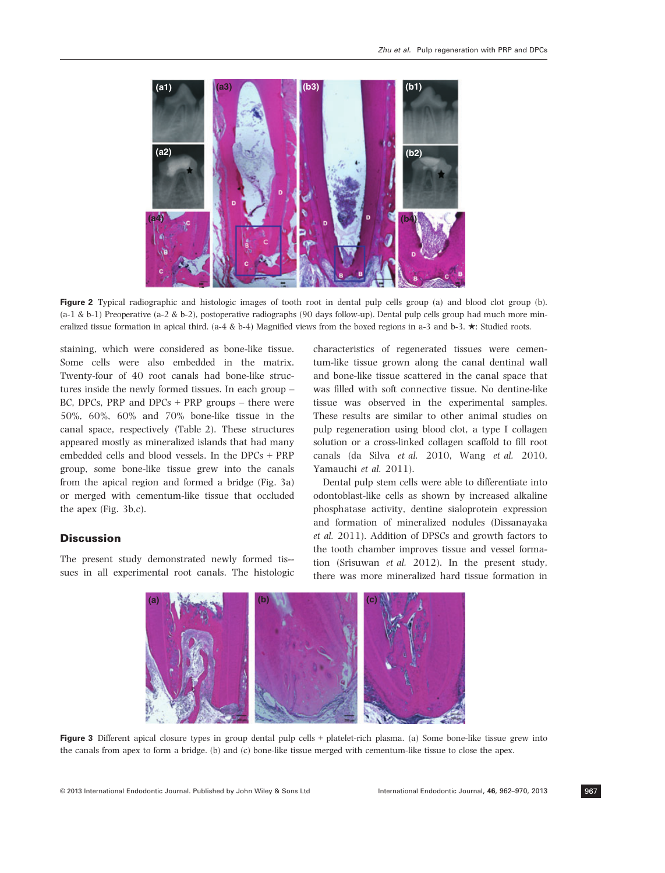

Figure 2 Typical radiographic and histologic images of tooth root in dental pulp cells group (a) and blood clot group (b).  $(a-1 \& b-1)$  Preoperative  $(a-2 \& b-2)$ , postoperative radiographs (90 days follow-up). Dental pulp cells group had much more mineralized tissue formation in apical third. (a-4 & b-4) Magnified views from the boxed regions in a-3 and b-3.  $\star$ : Studied roots.

staining, which were considered as bone-like tissue. Some cells were also embedded in the matrix. Twenty-four of 40 root canals had bone-like structures inside the newly formed tissues. In each group – BC, DPCs, PRP and DPCs  $+$  PRP groups  $-$  there were 50%, 60%, 60% and 70% bone-like tissue in the canal space, respectively (Table 2). These structures appeared mostly as mineralized islands that had many embedded cells and blood vessels. In the DPCs + PRP group, some bone-like tissue grew into the canals from the apical region and formed a bridge (Fig. 3a) or merged with cementum-like tissue that occluded the apex (Fig. 3b,c).

# **Discussion**

The present study demonstrated newly formed tis- sues in all experimental root canals. The histologic characteristics of regenerated tissues were cementum-like tissue grown along the canal dentinal wall and bone-like tissue scattered in the canal space that was filled with soft connective tissue. No dentine-like tissue was observed in the experimental samples. These results are similar to other animal studies on pulp regeneration using blood clot, a type I collagen solution or a cross-linked collagen scaffold to fill root canals (da Silva et al. 2010, Wang et al. 2010, Yamauchi et al. 2011).

Dental pulp stem cells were able to differentiate into odontoblast-like cells as shown by increased alkaline phosphatase activity, dentine sialoprotein expression and formation of mineralized nodules (Dissanayaka et al. 2011). Addition of DPSCs and growth factors to the tooth chamber improves tissue and vessel formation (Srisuwan et al. 2012). In the present study, there was more mineralized hard tissue formation in



Figure 3 Different apical closure types in group dental pulp cells <sup>+</sup> platelet-rich plasma. (a) Some bone-like tissue grew into the canals from apex to form a bridge. (b) and (c) bone-like tissue merged with cementum-like tissue to close the apex.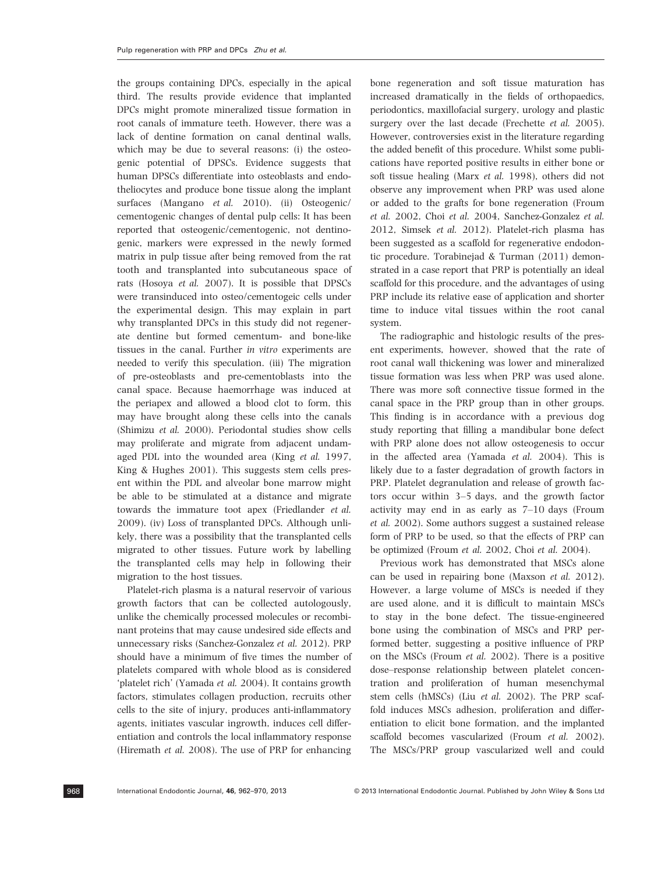the groups containing DPCs, especially in the apical third. The results provide evidence that implanted DPCs might promote mineralized tissue formation in root canals of immature teeth. However, there was a lack of dentine formation on canal dentinal walls, which may be due to several reasons: (i) the osteogenic potential of DPSCs. Evidence suggests that human DPSCs differentiate into osteoblasts and endotheliocytes and produce bone tissue along the implant surfaces (Mangano et al. 2010). (ii) Osteogenic/ cementogenic changes of dental pulp cells: It has been reported that osteogenic/cementogenic, not dentinogenic, markers were expressed in the newly formed matrix in pulp tissue after being removed from the rat tooth and transplanted into subcutaneous space of rats (Hosoya et al. 2007). It is possible that DPSCs were transinduced into osteo/cementogeic cells under the experimental design. This may explain in part why transplanted DPCs in this study did not regenerate dentine but formed cementum- and bone-like tissues in the canal. Further in vitro experiments are needed to verify this speculation. (iii) The migration of pre-osteoblasts and pre-cementoblasts into the canal space. Because haemorrhage was induced at the periapex and allowed a blood clot to form, this may have brought along these cells into the canals (Shimizu et al. 2000). Periodontal studies show cells may proliferate and migrate from adjacent undamaged PDL into the wounded area (King et al. 1997, King & Hughes 2001). This suggests stem cells present within the PDL and alveolar bone marrow might be able to be stimulated at a distance and migrate towards the immature toot apex (Friedlander et al. 2009). (iv) Loss of transplanted DPCs. Although unlikely, there was a possibility that the transplanted cells migrated to other tissues. Future work by labelling the transplanted cells may help in following their migration to the host tissues.

Platelet-rich plasma is a natural reservoir of various growth factors that can be collected autologously, unlike the chemically processed molecules or recombinant proteins that may cause undesired side effects and unnecessary risks (Sanchez-Gonzalez et al. 2012). PRP should have a minimum of five times the number of platelets compared with whole blood as is considered 'platelet rich' (Yamada et al. 2004). It contains growth factors, stimulates collagen production, recruits other cells to the site of injury, produces anti-inflammatory agents, initiates vascular ingrowth, induces cell differentiation and controls the local inflammatory response (Hiremath et al. 2008). The use of PRP for enhancing bone regeneration and soft tissue maturation has increased dramatically in the fields of orthopaedics, periodontics, maxillofacial surgery, urology and plastic surgery over the last decade (Frechette et al. 2005). However, controversies exist in the literature regarding the added benefit of this procedure. Whilst some publications have reported positive results in either bone or soft tissue healing (Marx et al. 1998), others did not observe any improvement when PRP was used alone or added to the grafts for bone regeneration (Froum et al. 2002, Choi et al. 2004, Sanchez-Gonzalez et al. 2012, Simsek et al. 2012). Platelet-rich plasma has been suggested as a scaffold for regenerative endodontic procedure. Torabinejad & Turman (2011) demonstrated in a case report that PRP is potentially an ideal scaffold for this procedure, and the advantages of using PRP include its relative ease of application and shorter time to induce vital tissues within the root canal system.

The radiographic and histologic results of the present experiments, however, showed that the rate of root canal wall thickening was lower and mineralized tissue formation was less when PRP was used alone. There was more soft connective tissue formed in the canal space in the PRP group than in other groups. This finding is in accordance with a previous dog study reporting that filling a mandibular bone defect with PRP alone does not allow osteogenesis to occur in the affected area (Yamada et al. 2004). This is likely due to a faster degradation of growth factors in PRP. Platelet degranulation and release of growth factors occur within 3–5 days, and the growth factor activity may end in as early as 7–10 days (Froum et al. 2002). Some authors suggest a sustained release form of PRP to be used, so that the effects of PRP can be optimized (Froum et al. 2002, Choi et al. 2004).

Previous work has demonstrated that MSCs alone can be used in repairing bone (Maxson et al. 2012). However, a large volume of MSCs is needed if they are used alone, and it is difficult to maintain MSCs to stay in the bone defect. The tissue-engineered bone using the combination of MSCs and PRP performed better, suggesting a positive influence of PRP on the MSCs (Froum et al. 2002). There is a positive dose–response relationship between platelet concentration and proliferation of human mesenchymal stem cells (hMSCs) (Liu et al. 2002). The PRP scaffold induces MSCs adhesion, proliferation and differentiation to elicit bone formation, and the implanted scaffold becomes vascularized (Froum et al. 2002). The MSCs/PRP group vascularized well and could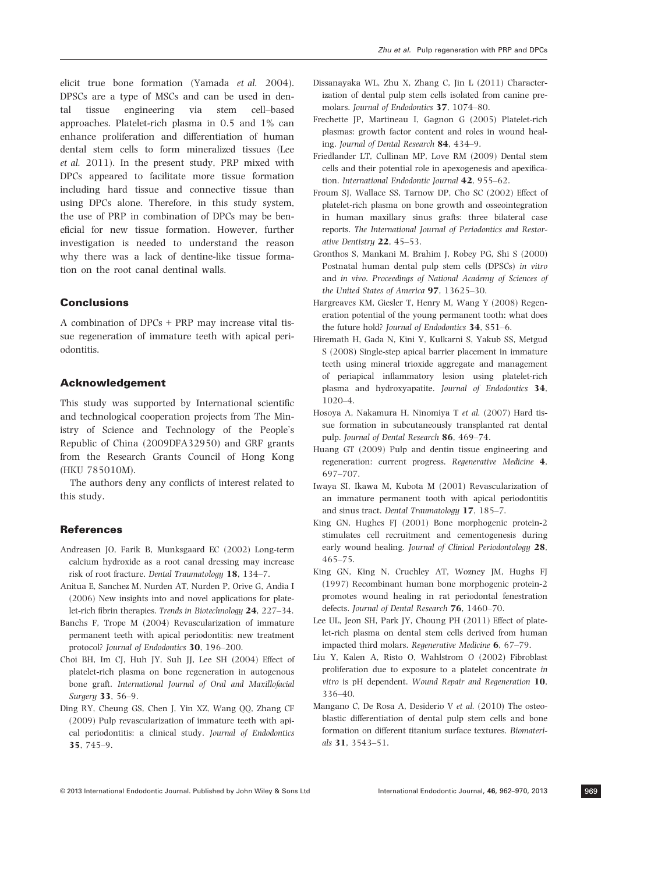elicit true bone formation (Yamada et al. 2004). DPSCs are a type of MSCs and can be used in dental tissue engineering via stem cell–based approaches. Platelet-rich plasma in 0.5 and 1% can enhance proliferation and differentiation of human dental stem cells to form mineralized tissues (Lee et al. 2011). In the present study, PRP mixed with DPCs appeared to facilitate more tissue formation including hard tissue and connective tissue than using DPCs alone. Therefore, in this study system, the use of PRP in combination of DPCs may be beneficial for new tissue formation. However, further investigation is needed to understand the reason why there was a lack of dentine-like tissue formation on the root canal dentinal walls.

# Conclusions

A combination of DPCs + PRP may increase vital tissue regeneration of immature teeth with apical periodontitis.

### Acknowledgement

This study was supported by International scientific and technological cooperation projects from The Ministry of Science and Technology of the People's Republic of China (2009DFA32950) and GRF grants from the Research Grants Council of Hong Kong (HKU 785010M).

The authors deny any conflicts of interest related to this study.

#### References

- Andreasen JO, Farik B, Munksgaard EC (2002) Long-term calcium hydroxide as a root canal dressing may increase risk of root fracture. Dental Traumatology 18, 134–7.
- Anitua E, Sanchez M, Nurden AT, Nurden P, Orive G, Andia I (2006) New insights into and novel applications for platelet-rich fibrin therapies. Trends in Biotechnology 24, 227-34.
- Banchs F, Trope M (2004) Revascularization of immature permanent teeth with apical periodontitis: new treatment protocol? Journal of Endodontics 30, 196–200.
- Choi BH, Im CJ, Huh JY, Suh JJ, Lee SH (2004) Effect of platelet-rich plasma on bone regeneration in autogenous bone graft. International Journal of Oral and Maxillofacial Surgery 33, 56–9.
- Ding RY, Cheung GS, Chen J, Yin XZ, Wang QQ, Zhang CF (2009) Pulp revascularization of immature teeth with apical periodontitis: a clinical study. Journal of Endodontics 35, 745–9.
- Dissanayaka WL, Zhu X, Zhang C, Jin L (2011) Characterization of dental pulp stem cells isolated from canine premolars. Journal of Endodontics 37, 1074–80.
- Frechette JP, Martineau I, Gagnon G (2005) Platelet-rich plasmas: growth factor content and roles in wound healing. Journal of Dental Research 84, 434–9.
- Friedlander LT, Cullinan MP, Love RM (2009) Dental stem cells and their potential role in apexogenesis and apexification. International Endodontic Journal 42, 955-62.
- Froum SJ, Wallace SS, Tarnow DP, Cho SC (2002) Effect of platelet-rich plasma on bone growth and osseointegration in human maxillary sinus grafts: three bilateral case reports. The International Journal of Periodontics and Restorative Dentistry 22, 45–53.
- Gronthos S, Mankani M, Brahim J, Robey PG, Shi S (2000) Postnatal human dental pulp stem cells (DPSCs) in vitro and in vivo. Proceedings of National Academy of Sciences of the United States of America 97, 13625–30.
- Hargreaves KM, Giesler T, Henry M, Wang Y (2008) Regeneration potential of the young permanent tooth: what does the future hold? Journal of Endodontics 34, S51–6.
- Hiremath H, Gada N, Kini Y, Kulkarni S, Yakub SS, Metgud S (2008) Single-step apical barrier placement in immature teeth using mineral trioxide aggregate and management of periapical inflammatory lesion using platelet-rich plasma and hydroxyapatite. Journal of Endodontics 34, 1020–4.
- Hosoya A, Nakamura H, Ninomiya T et al. (2007) Hard tissue formation in subcutaneously transplanted rat dental pulp. Journal of Dental Research 86, 469–74.
- Huang GT (2009) Pulp and dentin tissue engineering and regeneration: current progress. Regenerative Medicine 4, 697–707.
- Iwaya SI, Ikawa M, Kubota M (2001) Revascularization of an immature permanent tooth with apical periodontitis and sinus tract. Dental Traumatology 17, 185–7.
- King GN, Hughes FJ (2001) Bone morphogenic protein-2 stimulates cell recruitment and cementogenesis during early wound healing. Journal of Clinical Periodontology 28, 465–75.
- King GN, King N, Cruchley AT, Wozney JM, Hughs FJ (1997) Recombinant human bone morphogenic protein-2 promotes wound healing in rat periodontal fenestration defects. Journal of Dental Research 76, 1460–70.
- Lee UL, Jeon SH, Park JY, Choung PH (2011) Effect of platelet-rich plasma on dental stem cells derived from human impacted third molars. Regenerative Medicine 6, 67–79.
- Liu Y, Kalen A, Risto O, Wahlstrom O (2002) Fibroblast proliferation due to exposure to a platelet concentrate in vitro is pH dependent. Wound Repair and Regeneration 10, 336–40.
- Mangano C, De Rosa A, Desiderio V et al. (2010) The osteoblastic differentiation of dental pulp stem cells and bone formation on different titanium surface textures. Biomaterials 31, 3543–51.